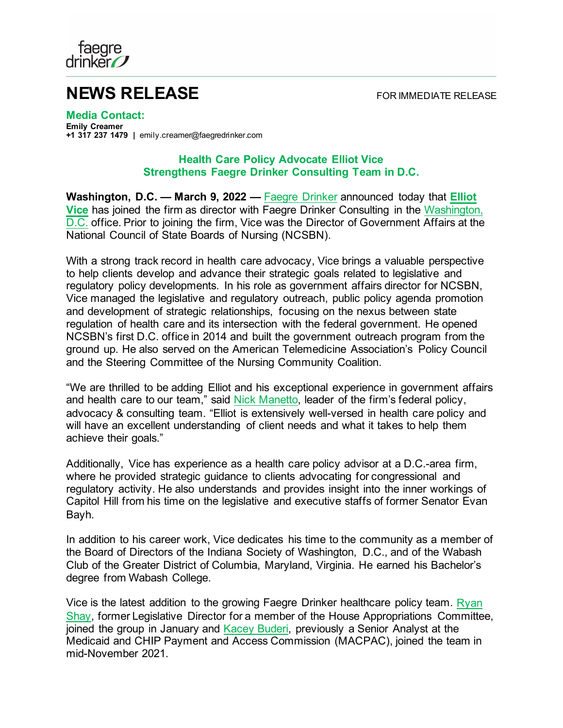

## **NEWS RELEASE** FOR IMMEDIATE RELEASE

**Media Contact: Emily Creamer +1 317 237 1479 |** emily.creamer@faegredrinker.com

## **Health Care Policy Advocate Elliot Vice Strengthens Faegre Drinker Consulting Team in D.C.**

**Washington, D.C. — March 9, 2022 —** [Faegre Drinker](https://www.faegredrinker.com/) announced today that **[Elliot](https://www.faegredrinker.com/en/professionals/v/vice-elliot-d#!)  [Vice](https://www.faegredrinker.com/en/professionals/v/vice-elliot-d#!)** has joined the firm as director with Faegre Drinker Consulting in the [Washington,](https://www.faegredrinker.com/en/locations/washington-dc#!)  [D.C.](https://www.faegredrinker.com/en/locations/washington-dc#!) office. Prior to joining the firm, Vice was the Director of Government Affairs at the National Council of State Boards of Nursing (NCSBN).

With a strong track record in health care advocacy, Vice brings a valuable perspective to help clients develop and advance their strategic goals related to legislative and regulatory policy developments. In his role as government affairs director for NCSBN, Vice managed the legislative and regulatory outreach, public policy agenda promotion and development of strategic relationships, focusing on the nexus between state regulation of health care and its intersection with the federal government. He opened NCSBN's first D.C. office in 2014 and built the government outreach program from the ground up. He also served on the American Telemedicine Association's Policy Council and the Steering Committee of the Nursing Community Coalition.

"We are thrilled to be adding Elliot and his exceptional experience in government affairs and health care to our team," said [Nick Manetto,](https://www.faegredrinker.com/en/professionals/m/manetto-nick#!) leader of the firm's federal policy, advocacy & consulting team. "Elliot is extensively well-versed in health care policy and will have an excellent understanding of client needs and what it takes to help them achieve their goals."

Additionally, Vice has experience as a health care policy advisor at a D.C.-area firm, where he provided strategic guidance to clients advocating for congressional and regulatory activity. He also understands and provides insight into the inner workings of Capitol Hill from his time on the legislative and executive staffs of former Senator Evan Bayh.

In addition to his career work, Vice dedicates his time to the community as a member of the Board of Directors of the Indiana Society of Washington, D.C., and of the Wabash Club of the Greater District of Columbia, Maryland, Virginia. He earned his Bachelor's degree from Wabash College.

Vice is the latest addition to the growing Faegre Drinker healthcare policy team. [Ryan](https://www.faegredrinker.com/en/about/news/2022/1/faegre-drinker-consulting-strengthens-team-with-former-capitol-hill-legislative-director-ryan-shay)  [Shay,](https://www.faegredrinker.com/en/about/news/2022/1/faegre-drinker-consulting-strengthens-team-with-former-capitol-hill-legislative-director-ryan-shay) former Legislative Director for a member of the House Appropriations Committee, joined the group in January and [Kacey Buderi,](https://www.faegredrinker.com/en/about/news/2021/12/health-policy-analyst-kacey-buderi-joins-faegre-drinker-consulting-in-washington-dc) previously a Senior Analyst at the Medicaid and CHIP Payment and Access Commission (MACPAC), joined the team in mid-November 2021.